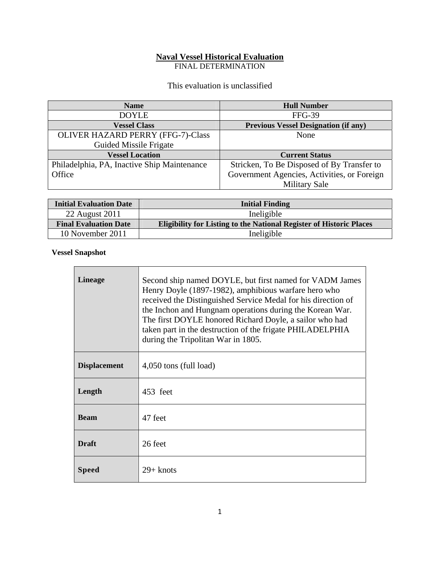# **Naval Vessel Historical Evaluation**

FINAL DETERMINATION

This evaluation is unclassified

| <b>Name</b>                                 | <b>Hull Number</b>                          |
|---------------------------------------------|---------------------------------------------|
| <b>DOYLE</b>                                | <b>FFG-39</b>                               |
| <b>Vessel Class</b>                         | <b>Previous Vessel Designation (if any)</b> |
| <b>OLIVER HAZARD PERRY (FFG-7)-Class</b>    | None                                        |
| Guided Missile Frigate                      |                                             |
| <b>Vessel Location</b>                      | <b>Current Status</b>                       |
| Philadelphia, PA, Inactive Ship Maintenance | Stricken, To Be Disposed of By Transfer to  |
| Office                                      | Government Agencies, Activities, or Foreign |
|                                             | <b>Military Sale</b>                        |

| <b>Initial Evaluation Date</b> | <b>Initial Finding</b>                                                     |
|--------------------------------|----------------------------------------------------------------------------|
| 22 August 2011                 | Ineligible                                                                 |
| <b>Final Evaluation Date</b>   | <b>Eligibility for Listing to the National Register of Historic Places</b> |
| 10 November 2011               | Ineligible                                                                 |

#### **Vessel Snapshot**

| <b>Lineage</b>      | Second ship named DOYLE, but first named for VADM James<br>Henry Doyle (1897-1982), amphibious warfare hero who<br>received the Distinguished Service Medal for his direction of<br>the Inchon and Hungnam operations during the Korean War.<br>The first DOYLE honored Richard Doyle, a sailor who had<br>taken part in the destruction of the frigate PHILADELPHIA<br>during the Tripolitan War in 1805. |
|---------------------|------------------------------------------------------------------------------------------------------------------------------------------------------------------------------------------------------------------------------------------------------------------------------------------------------------------------------------------------------------------------------------------------------------|
| <b>Displacement</b> | 4,050 tons (full load)                                                                                                                                                                                                                                                                                                                                                                                     |
| Length              | 453 feet                                                                                                                                                                                                                                                                                                                                                                                                   |
| <b>Beam</b>         | 47 feet                                                                                                                                                                                                                                                                                                                                                                                                    |
| <b>Draft</b>        | 26 feet                                                                                                                                                                                                                                                                                                                                                                                                    |
| <b>Speed</b>        | $29 +$ knots                                                                                                                                                                                                                                                                                                                                                                                               |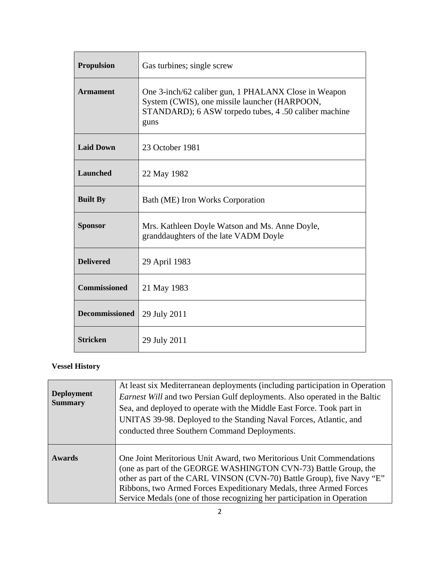| <b>Propulsion</b>     | Gas turbines; single screw                                                                                                                                             |
|-----------------------|------------------------------------------------------------------------------------------------------------------------------------------------------------------------|
| <b>Armament</b>       | One 3-inch/62 caliber gun, 1 PHALANX Close in Weapon<br>System (CWIS), one missile launcher (HARPOON,<br>STANDARD); 6 ASW torpedo tubes, 4 .50 caliber machine<br>guns |
| <b>Laid Down</b>      | 23 October 1981                                                                                                                                                        |
| <b>Launched</b>       | 22 May 1982                                                                                                                                                            |
| <b>Built By</b>       | Bath (ME) Iron Works Corporation                                                                                                                                       |
| <b>Sponsor</b>        | Mrs. Kathleen Doyle Watson and Ms. Anne Doyle,<br>granddaughters of the late VADM Doyle                                                                                |
| <b>Delivered</b>      | 29 April 1983                                                                                                                                                          |
| <b>Commissioned</b>   | 21 May 1983                                                                                                                                                            |
| <b>Decommissioned</b> | 29 July 2011                                                                                                                                                           |
| <b>Stricken</b>       | 29 July 2011                                                                                                                                                           |

## **Vessel History**

| <b>Deployment</b><br><b>Summary</b> | At least six Mediterranean deployments (including participation in Operation<br><i>Earnest Will</i> and two Persian Gulf deployments. Also operated in the Baltic<br>Sea, and deployed to operate with the Middle East Force. Took part in<br>UNITAS 39-98. Deployed to the Standing Naval Forces, Atlantic, and<br>conducted three Southern Command Deployments.  |
|-------------------------------------|--------------------------------------------------------------------------------------------------------------------------------------------------------------------------------------------------------------------------------------------------------------------------------------------------------------------------------------------------------------------|
| <b>Awards</b>                       | One Joint Meritorious Unit Award, two Meritorious Unit Commendations<br>(one as part of the GEORGE WASHINGTON CVN-73) Battle Group, the<br>other as part of the CARL VINSON (CVN-70) Battle Group), five Navy "E"<br>Ribbons, two Armed Forces Expeditionary Medals, three Armed Forces<br>Service Medals (one of those recognizing her participation in Operation |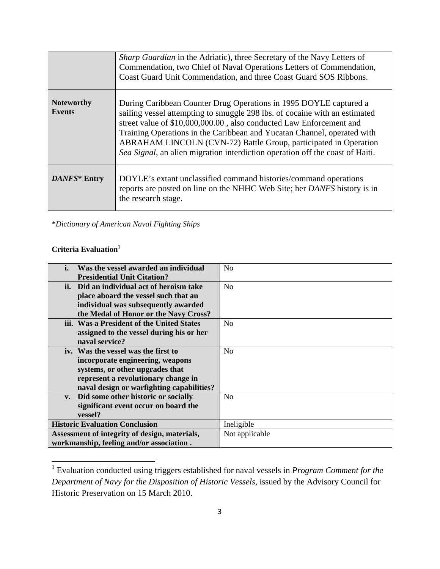|                                    | Sharp Guardian in the Adriatic), three Secretary of the Navy Letters of<br>Commendation, two Chief of Naval Operations Letters of Commendation,<br>Coast Guard Unit Commendation, and three Coast Guard SOS Ribbons.                                                                                                                                                                                                                                   |
|------------------------------------|--------------------------------------------------------------------------------------------------------------------------------------------------------------------------------------------------------------------------------------------------------------------------------------------------------------------------------------------------------------------------------------------------------------------------------------------------------|
| <b>Noteworthy</b><br><b>Events</b> | During Caribbean Counter Drug Operations in 1995 DOYLE captured a<br>sailing vessel attempting to smuggle 298 lbs. of cocaine with an estimated<br>street value of \$10,000,000.00, also conducted Law Enforcement and<br>Training Operations in the Caribbean and Yucatan Channel, operated with<br>ABRAHAM LINCOLN (CVN-72) Battle Group, participated in Operation<br>Sea Signal, an alien migration interdiction operation off the coast of Haiti. |
| DANFS* Entry                       | DOYLE's extant unclassified command histories/command operations<br>reports are posted on line on the NHHC Web Site; her DANFS history is in<br>the research stage.                                                                                                                                                                                                                                                                                    |

\**Dictionary of American Naval Fighting Ships*

## **Criteria Evaluation1**

| i.<br>Was the vessel awarded an individual    | N <sub>o</sub> |
|-----------------------------------------------|----------------|
| <b>Presidential Unit Citation?</b>            |                |
| ii. Did an individual act of heroism take     | No             |
| place aboard the vessel such that an          |                |
| individual was subsequently awarded           |                |
| the Medal of Honor or the Navy Cross?         |                |
| iii. Was a President of the United States     | No             |
| assigned to the vessel during his or her      |                |
| naval service?                                |                |
| iv. Was the vessel was the first to           | No             |
| incorporate engineering, weapons              |                |
| systems, or other upgrades that               |                |
| represent a revolutionary change in           |                |
| naval design or warfighting capabilities?     |                |
| v. Did some other historic or socially        | N <sub>0</sub> |
| significant event occur on board the          |                |
| vessel?                                       |                |
| <b>Historic Evaluation Conclusion</b>         | Ineligible     |
| Assessment of integrity of design, materials, | Not applicable |
| workmanship, feeling and/or association.      |                |

 1 Evaluation conducted using triggers established for naval vessels in *Program Comment for the Department of Navy for the Disposition of Historic Vessels*, issued by the Advisory Council for Historic Preservation on 15 March 2010.